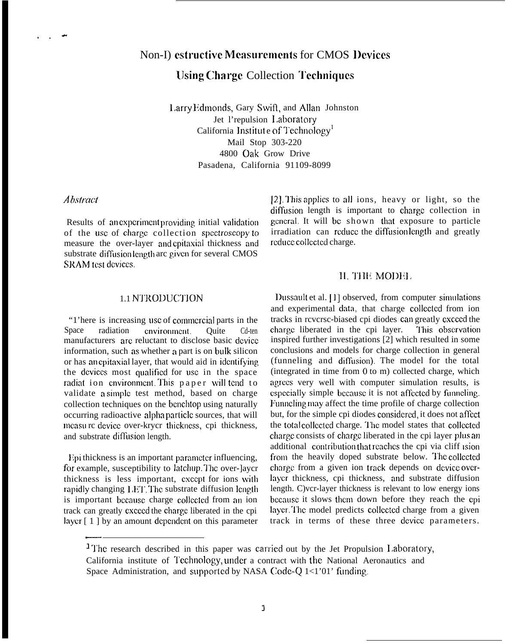# Non-I) estructive Measurements for CMOS Devices

**Using Charge Collection Techniques** 

Larry Edmonds, Gary Swift, and Allan Johnston Jet l'repulsion Laboratory California Institute of Technology<sup>1</sup> Mail Stop 303-220 4800 Oak Grow Drive Pasadena, California 91109-8099

# **Abstract**

Results of an experiment providing initial validation of the use of charge collection spectroscopy to measure the over-layer and cpitaxia] thickness and substrate diffusion length arc given for several CMOS SRAM test devices.

# 1.1 NTRODUCTION

"1'here is increasing use of conmcrcial parts in the Space radiation cnvironment. Quite Cd-ten manufacturers arc reluctant to disclose basic dcvicc information, such as whether a part is on bulk silicon or has an epitaxial layer, that would aid in identifying the dcviccs most qwdificd for usc in the space radiat ion cnvironment. This paper will tend to validate a simple test method, based on charge collection techniques on the bcnchtop using naturally occurring radioactive alpha particle sources, that will measu rc device over-krycr thickness, cpi thickness, and substrate diffusion length.

Epi thickness is an important parmctcr influencing, for example, susceptibility to latchup. The over-layer thickness is less important, except for ions with rapidly changing LET. The substrate diffusion length is important because charge collected from an ion track can greatly cxcccd the charge liberated in the cpi layer  $\lceil 1 \rceil$  by an amount dependent on this parameter

———

 $[2]$ . This applies to all ions, heavy or light, so the diffusion length is important to charge collection in gcncrat. It will bc shown that exposure to particle irradiation can reduce the diffusion length and greatly rcducc collcctcd charge.

# II, THE MODEL

Dussault et al. [1] observed, from computer simulations and experimental dnta, that charge collcctcd from ion tracks in reverse-biased cpi diodes can greatly exceed the charge liberated in the cpi layer. This obscrvation inspired further investigations [2] which resulted in some conclusions and models for charge collection in general (funneling and diffusion). The model for the total (integrated in time from O to m) collected charge, which agrees very well with computer simulation results. is especially simple because it is not affected by funneling. I'unncling may affect the time profile of charge collection but, for the simple cpi diodes considcrcd, it does not aflcct the total collected charge. The model states that collected charge consists of charge liberated in the cpi layer plus an additional contribution that reaches the cpi via cliff usion from the heavily doped substrate below. The collected charge from a given ion track depends on device overlaycr thickness, cpi thickness, and substrate diffusion length. C)vcr-layer thickness is relevant to low energy ions bccause it slows them down before they reach the epi layer. The model predicts collected charge from a given track in terms of these three dcvicc parameters.

<sup>&</sup>lt;sup>1</sup>The research described in this paper was carried out by the Jet Propulsion Laboratory, California institute of Technology, under a contract with the National Aeronautics and Space Administration, and supported by NASA Code-Q  $1\lt1'01'$  funding,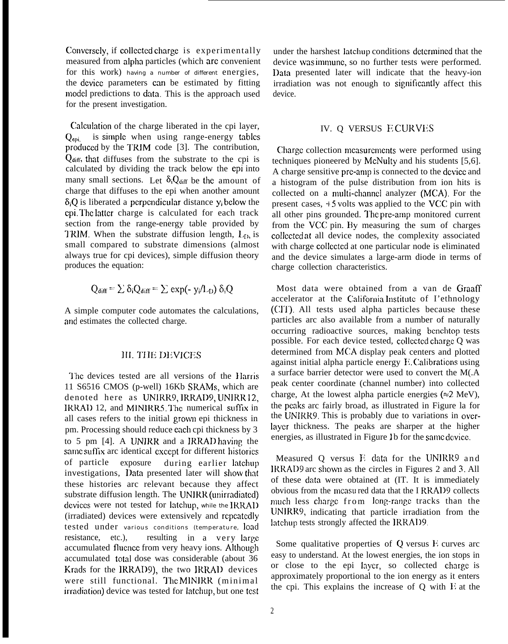Conversely, if collected charge is experimentally measured from alpha particles (which are convenient for this work) having a number of different energies, the dcvicc parameters can be estimated by fitting model predictions to data. This is the approach used for the present investigation.

Calculation of the charge liberated in the cpi layer,  $Q_{\text{epi}}$  is simple when using range-energy tables produced by the TRIM code [3]. The contribution, **Qdin, fiat** diffuses from the substrate to the cpi is calculated by dividing the track below the epi into many small sections. Let  $\delta_i Q_{\text{diff}}$  be the amount of charge that diffuses to the epi when another amount  $\delta_i$ Q is liberated a perpendicular distance y; below the epi. The latter charge is calculated for each track section from the range-energy table provided by TRIM. When the substrate diffusion length,  $l_{\text{th}}$  is small compared to substrate dimensions (almost always true for cpi devices), simple diffusion theory produces the equation:

$$
Q_{\text{diff}} = \sum \delta_i Q_{\text{diff}} = \sum \exp(-y_i/L_D) \delta_i Q
$$

A simple computer code automates the calculations, and estimates the collected charge.

#### **III. THE DEVICES**

The devices tested are all versions of the Harris 11 S6516 CMOS (p-well) 16Kb SRAMS, which are denoted here as UN1RR9, IRRAD9, UNIRR 12, IRRAD 12, and MINIRR5. The numerical suffix in all cases refers to the initial grown epi thickness in pm. Processing should reduce each cpi thickness by 3 to 5 pm [4]. A lJNIRR and a IRRAD having the same suffix arc identical except for different histories of particle exposure during earlier latchup investigations, Data presented later will show that these histories arc relevant because they affect substrate diffusion length. The UNIRR (unirradiatcd) devices were not tested for latchup, while the IRRAD (irradiated) devices were extensively and repeatedly tested under various conditions (temperature, load resistance, etc.), resulting in a very large accumulated flucnce from very heavy ions. Allhough accumulated total dose was considerable (about 36 Krads for the IRRAD9), the two IRRAD devices were still functional. The MINIRR (minimal irradiation) device was tested for latchup, but one test

under the harshest latchup conditions determined that the device was inmunc, so no further tests were performed. Data presented later will indicate that the heavy-ion irradiation was not enough to significantly affect this device.

# IV. Q VERSUS E CURVES

Charge collection measurements were performed using techniques pioneered by McNulty and his students [5,6]. A charge sensitive prc-amp is connected to the device and a histogram of the pulse distribution from ion hits is collected on a multi-channel analyzer (MCA). For the present cases,  $+5$  volts was applied to the VCC pin with all other pins grounded. The pre-amp monitored current from the VCC pin. By measuring the sum of charges collected at all device nodes, the complexity associated with charge collcctcd at one particular node is eliminated and the device simulates a large-arm diode in terms of charge collection characteristics.

Most data were obtained from a van de Graaff accelerator at the California Institute of I'ethnology (CIT). All tests used alpha particles because these particles arc also available from a number of naturally occurring radioactive sources, making bcnchtop tests possible. For each device tested, collected charge Q was determined from MCA display peak centers and plotted against initial alpha particle energy E, Glibrations using a surface barrier detector were used to convert the M(.A peak center coordinate (channel number) into collected charge, At the lowest alpha particle energies ( $\approx$ 2 MeV), the peaks arc fairly broad, as illustrated in Figure la for the UNIRR9. This is probably due to variations in ovcr-Iaycr thickness. The peaks are sharper at the higher energies, as illustrated in Figure 1b for the same device.

Measured Q versus E data for the UNIRR9 and IRRAD9 arc shown as the circles in Figures 2 and 3. All of these data were obtained at (IT. It is immediately obvious from the mcasu red data that the I RRAI)9 collects much less charge from long-range tracks than the lJNJRR9, indicating that particle irradiation from the latchup tests strongly affected the IRRAD9.

Some qualitative properties of  $Q$  versus  $E$  curves arc easy to understand. At the lowest energies, the ion stops in or close to the epi layer, so collected charge is approximately proportional to the ion energy as it enters the cpi. This explains the increase of  $Q$  with  $E$  at the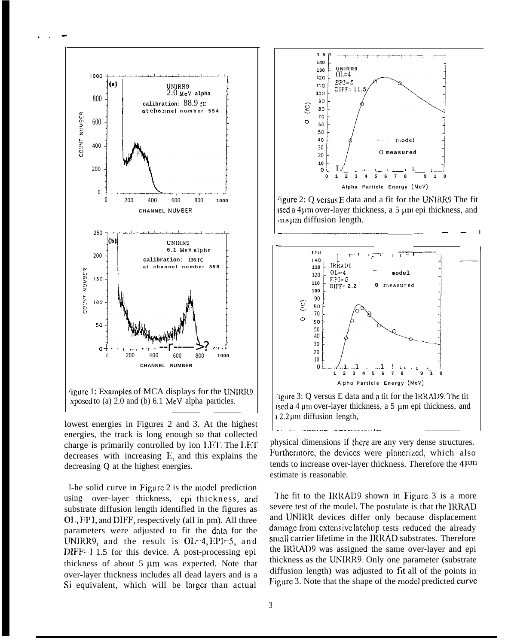

lowest energies in Figures 2 and 3. At the highest energies, the track is long enough so that collected charge is primarily controlled by ion LET. The LET decreases with increasing E, and this explains the decreasing Q at the highest energies.

1-he solid curve in Figure 2 is the model prediction using over-layer thickness, epi thickness, and substrate diffusion length identified in the figures as OL, EPI, and DIFF, respectively (all in pm). All three parameters were adjusted to fit the data for the UNIRR9, and the result is OL=4, EPI=5, and  $DIFF=11.5$  for this device. A post-processing epi thickness of about 5 µm was expected. Note that over-layer thickness includes all dead layers and is a Si equivalent, which will be larger than actual



igure 2: Q versus E data and a fit for the UNIRR9 The fit ised a  $4 \mu m$  over-layer thickness, a  $5 \mu m$  epi thickness, and 111.5 um diffusion length.



ised a 4  $\mu$ m over-layer thickness, a 5  $\mu$ m epi thickness, and 12.2 µm diffusion length,

physical dimensions if there are any very dense structures. Furthermore, the devices were planerized, which also tends to increase over-layer thickness. Therefore the 4 µm estimate is reasonable.

The fit to the IRRAD9 shown in Figure 3 is a more severe test of the model. The postulate is that the IRRAD and UNIRR devices differ only because displacement damage from extensive latchup tests reduced the already small carrier lifetime in the IRRAD substrates. Therefore the IRRAD9 was assigned the same over-layer and epi thickness as the UNIRR9. Only one parameter (substrate diffusion length) was adjusted to fit all of the points in Figure 3. Note that the shape of the model predicted curve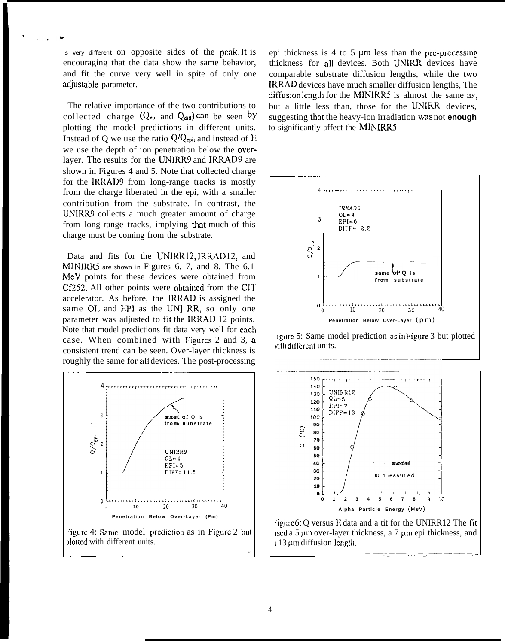is very different on opposite sides of the peak, It is encouraging that the data show the same behavior, and fit the curve very well in spite of only one adjustable parameter.

.

.,--

The relative importance of the two contributions to collected charge  $(Q_{epi}$  and  $Q_{diff}$ ) can be seen by plotting the model predictions in different units. Instead of Q we use the ratio  $Q/Q_{\text{epi}}$ , and instead of E we use the depth of ion penetration below the overlayer. The results for the UNIRR9 and IRRAD9 are shown in Figures 4 and 5. Note that collected charge for the lKRAD9 from long-range tracks is mostly from the charge liberated in the epi, with a smaller contribution from the substrate. In contrast, the UNIRR9 collects a much greater amount of charge from long-range tracks, implying that much of this charge must be coming from the substrate.

Data and fits for the UN1RR12, IRRAD12, and MINIRR5 are shown in Figures 6, 7, and 8. The 6.1 MeV points for these devices were obtained from Cf252. All other points were obtained from the CIT accelerator. As before, the IKRAD is assigned the same OL and EPI as the UN] RR, so only one parameter was adjusted to fit the IRRAD 12 points. Note that model predictions fit data very well for each case. When combined with Figures 2 and 3, a consistent trend can be seen. Over-layer thickness is roughly the same for all devices. The post-processing



epi thickness is 4 to 5  $\mu$ m less than the pre-processing thickness for all devices. Both UNIRR devices have comparable substrate diffusion lengths, while the two IKRAD devices have much smaller diffusion lengths, The diffusion length for the MINIRR5 is almost the same as, but a little less than, those for the UNIRR devices, suggesting that the heavy-ion irradiation was not **enough** to significantly affect the MINIRR5.





. . . ..— —. .——



Figure 6: Q versus E data and a tit for the UNIRR12 The fit ised a 5  $\mu$ m over-layer thickness, a 7  $\mu$ m epi thickness, and t 13 pm diffusion length.

— ,——,——— , , ,, —\_, ————————, —! —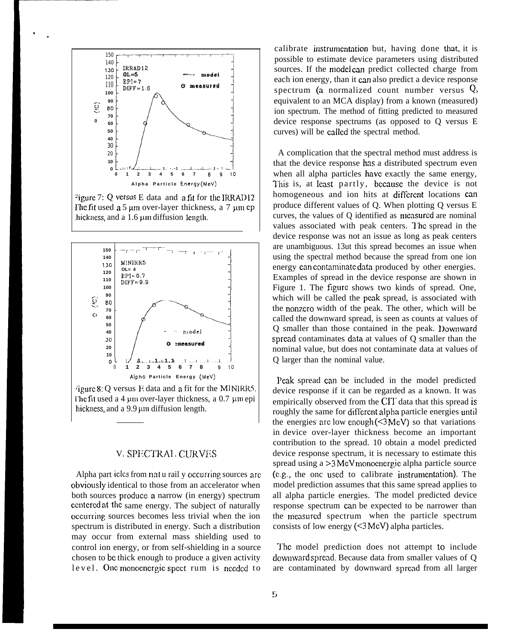

Figure 7: Q versus E data and a fit for the IRRAD12 The fit used a 5  $\mu$ m over-layer thickness, a 7  $\mu$ m ep: hickness, and a 1.6 um diffusion length.



igure 8: Q versus E data and a fit for the MINIRR5. The fit used a 4  $\mu$ m over-layer thickness, a 0.7  $\mu$ m epi hickness, and a 9.9 um diffusion length.

#### V. SPECTRAL CURVES

Alpha part icles from nat u rail y occurring sources are obviously identical to those from an accelerator when both sources produce a narrow (in energy) spectrum centered at the same energy. The subject of naturally occurring sources becomes less trivial when the ion spectrum is distributed in energy. Such a distribution may occur from external mass shielding used to control ion energy, or from self-shielding in a source chosen to be thick enough to produce a given activity level. One monoenergic spect rum is needed to

calibrate instrumentation but, having done that, it is possible to estimate device parameters using distributed sources. If the model can predict collected charge from each ion energy, than it can also predict a device response spectrum (a normalized count number versus  $Q$ , equivalent to an MCA display) from a known (measured) ion spectrum. The method of fitting predicted to measured device response spectrums (as opposed to Q versus E curves) will be called the spectral method.

A complication that the spectral method must address is that the device response has a distributed spectrum even when all alpha particles have exactly the same energy, This is, at least partly, because the device is not homogeneous and ion hits at different locations can produce different values of O. When plotting O versus E curves, the values of Q identified as measured are nominal values associated with peak centers. The spread in the device response was not an issue as long as peak centers are unambiguous. 13ut this spread becomes an issue when using the spectral method because the spread from one ion energy can contaminate data produced by other energies. Examples of spread in the device response are shown in Figure 1. The figure shows two kinds of spread. One, which will be called the peak spread, is associated with the nonzero width of the peak. The other, which will be called the downward spread, is seen as counts at values of Q smaller than those contained in the peak. Downward spread contaminates data at values of O smaller than the nominal value, but does not contaminate data at values of O larger than the nominal value.

Peak spread can be included in the model predicted device response if it can be regarded as a known. It was empirically observed from the CIT data that this spread is roughly the same for different alpha particle energies until the energies are low enough  $(\leq 3 \text{ MeV})$  so that variations in device over-layer thickness become an important contribution to the spread. 10 obtain a model predicted device response spectrum, it is necessary to estimate this spread using a >3 MeV monoenergic alpha particle source (e.g., the one used to calibrate instrumentation). The model prediction assumes that this same spread applies to all alpha particle energies. The model predicted device response spectrum can be expected to be narrower than the measured spectrum when the particle spectrum consists of low energy  $(\leq 3 \text{ MeV})$  alpha particles.

The model prediction does not attempt to include downward spread. Because data from smaller values of Q are contaminated by downward spread from all larger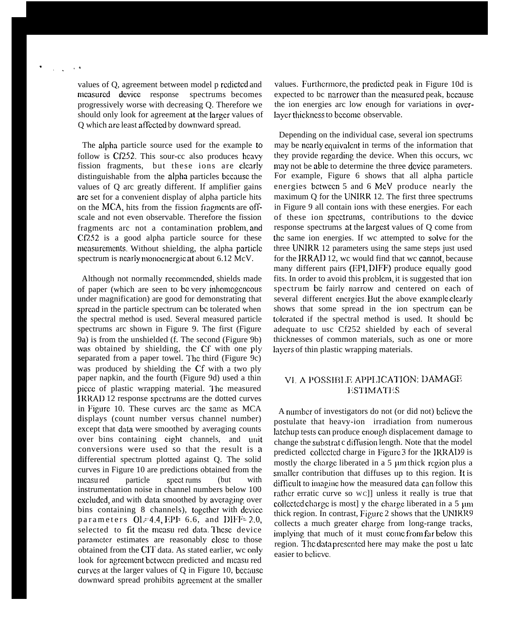values of Q, agreement between model p redictcd and rncasured dcvicc response spectrums becomes progressively worse with decreasing Q. Therefore we should only look for agreement at the Iargcr values of Q which are least affcctcd by downward spread.

,

,.

,\*

The alpha particle source used for the example to follow is Cf252. This sour-cc also produces heavy fission fragments, but these ions are clearly distinguishable from the alpha particles bccausc the values of Q arc greatly different. If amplifier gains are set for a convenient display of alpha particle hits on the MCA, hits from the fission fragments are offscale and not even observable. Therefore the fission fragments arc not a contamination problcm, and  $Cf252$  is a good alpha particle source for these measurements. Without shielding, the alpha particle spectrum is nearly monoenergic at about 6.12 McV.

Although not normally recommended, shields made of paper (which are seen to bc very inhornogcncous under magnification) are good for demonstrating that spread in the particle spectrum can be tolerated when the spectral method is used. Several measured particle spectrums arc shown in Figure 9. The first (Figure 9a) is from the unshielded (f. The second (Figure 9b) was obtained by shielding, the Cf with one ply separated from a paper towel. The third (Figure 9c) was produced by shielding the Cf with a two ply paper napkin, and the fourth (Figure 9d) used a thin picce of plastic wrapping material. The measured IRRAII 12 response spectrums are the dotted curves in Figure 10. These curves arc the same as MCA displays (count number versus channel number) except that data were smoothed by averaging counts over bins containing eight channels, and unit conversions were used so that the result is a differential spectrum plotted against Q. The solid curves in Figure 10 are predictions obtained from the measured particle spect rums (but with instrumentation noise in channel numbers below 100 cxcludcd, and with data smoothed by avcraginc over bins containing 8 channels), together with device parameters  $O[-4.4, EPI=6.6, and DIFF=2.0,$ selected to fit the measu red data. These device parameter estimates are reasonably close to those obtained from the CIT data. As stated earlier, wc only look for agreement between predicted and measu red curvcs at the larger values of  $Q$  in Figure 10, because downward spread prohibits agreement at the smaller

values. Furthermore, the predicted peak in Figure 10d is expected to bc narrower than the measured peak, because the ion energies arc low enough for variations in ovcrlayer thickness to become observable.

Depending on the individual case, several ion spectrums may be nearly equivalent in terms of the information that they provide regarding the device. When this occurs, wc may not be able to determine the three device parameters. For example, Figure 6 shows that all alpha particle energies bctwccn 5 and 6 MeV produce nearly the maximum Q for the lJNIRR 12. The first three spectrums in Figure 9 all contain ions with these energies. For each of these ion spcctrurns, contributions to the dcvicc response spectrums at the largest values of Q come from the same ion energies. If we attempted to solve for the three UNIRR 12 parameters using the same steps just used for the IRRAD 12, wc would find that wc cannot, because many different pairs (EPI, DIFF) produce equally good fits. In order to avoid this problem, it is suggested that ion spectrum be fairly narrow and centered on each of several different energies. But the above example clearly shows that some spread in the ion spectrum can be tolerated if the spectral method is used. It should be adequate to usc Cf252 shielded by each of several thicknesses of common materials, such as one or more layers of thin plastic wrapping materials.

# VI. A POSSIBLE APPLICATION: DAMAGE **ESTIMATES**

A nurnbcr of investigators do not (or did not) bclicvc the postulate that heavy-ion irradiation from numerous latchup tests can produce enough displacement damage to change the substrate diffusion length. Note that the model predicted collected charge in Figure 3 for the IRRAD9 is mostly the charge liberated in a 5 pm thick region plus a smaller contribution that diffuses up to this region. It is difficult to imagine how the measured data can follow this rather erratic curve so WC]] unless it really is true that collected charge is most] y the charge liberated in a  $5 \mu m$ thick region. In contrast, Figure 2 shows that the UNIRR9 collects a much greater charge from long-range tracks, implying that much of it must come from far below this region. The data presented here may make the post u late easier to bclicvc.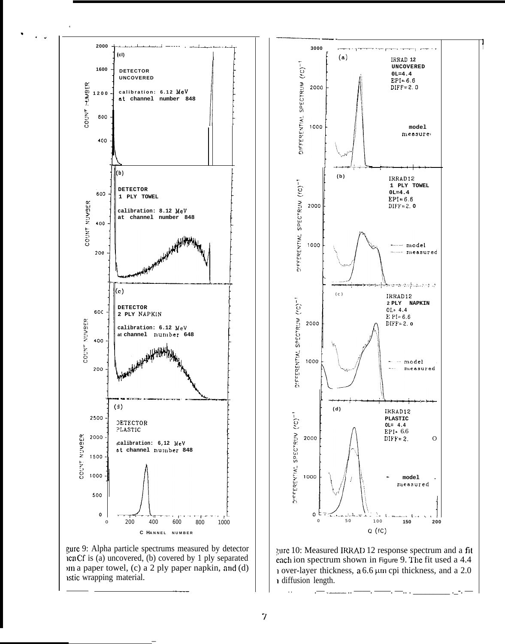

gure 9: Alpha particle spectrums measured by detector  $\lim_{h \to 0}$  is (a) uncovered, (b) covered by 1 ply separated om a paper towel, (c) a 2 ply paper napkin, and (d) istic wrapping material.



gure 10: Measured IRRAD 12 response spectrum and a fit each ion spectrum shown in Figure 9. The fit used a 4.4 tover-layer thickness, a 6.6 µm cpi thickness, and a 2.0 a diffusion length.